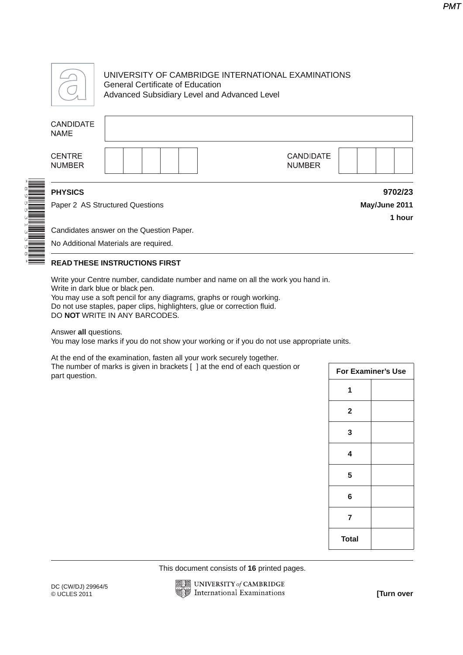

\*8955313358\*

## UNIVERSITY OF CAMBRIDGE INTERNATIONAL EXAMINATIONS General Certificate of Education Advanced Subsidiary Level and Advanced Level

## **CANDIDATE NAME CENTRE CANDIDATE NUMBER NUMBER PHYSICS 9702/23**

Paper 2 AS Structured Questions **May/June 2011**

Candidates answer on the Question Paper.

No Additional Materials are required.

## **READ THESE INSTRUCTIONS FIRST**

Write your Centre number, candidate number and name on all the work you hand in. Write in dark blue or black pen.

You may use a soft pencil for any diagrams, graphs or rough working. Do not use staples, paper clips, highlighters, glue or correction fluid. DO **NOT** WRITE IN ANY BARCODES.

Answer **all** questions.

You may lose marks if you do not show your working or if you do not use appropriate units.

At the end of the examination, fasten all your work securely together. The number of marks is given in brackets [ ] at the end of each question or part question.

| For Examiner's Use      |  |  |
|-------------------------|--|--|
| 1                       |  |  |
| $\overline{\mathbf{2}}$ |  |  |
| 3                       |  |  |
| 4                       |  |  |
| 5                       |  |  |
| 6                       |  |  |
| 7                       |  |  |
| <b>Total</b>            |  |  |

This document consists of **16** printed pages.



**1 hour**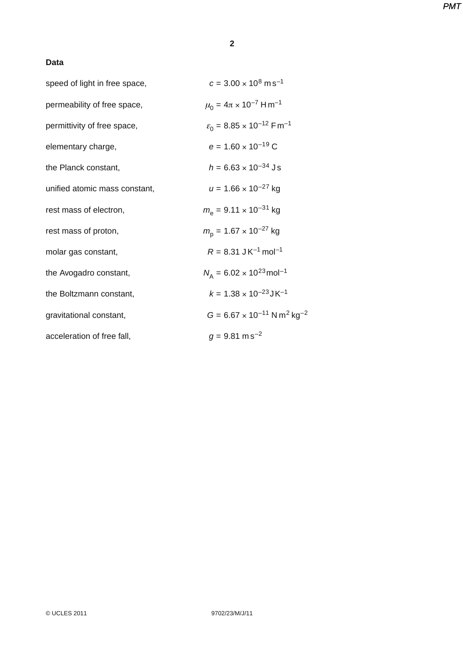## **2**

## **Data**

| speed of light in free space, | $c = 3.00 \times 10^8 \text{ m s}^{-1}$                      |
|-------------------------------|--------------------------------------------------------------|
| permeability of free space,   | $\mu_0 = 4\pi \times 10^{-7}$ Hm <sup>-1</sup>               |
| permittivity of free space,   | $\varepsilon_0$ = 8.85 × 10 <sup>-12</sup> Fm <sup>-1</sup>  |
| elementary charge,            | $e = 1.60 \times 10^{-19}$ C                                 |
| the Planck constant,          | $h = 6.63 \times 10^{-34}$ Js                                |
| unified atomic mass constant, | $u = 1.66 \times 10^{-27}$ kg                                |
| rest mass of electron,        | $m_e$ = 9.11 $\times$ 10 <sup>-31</sup> kg                   |
| rest mass of proton,          | $m_{\rm p}$ = 1.67 × 10 <sup>-27</sup> kg                    |
| molar gas constant,           | $R = 8.31$ JK <sup>-1</sup> mol <sup>-1</sup>                |
| the Avogadro constant,        | $N_{\rm A} = 6.02 \times 10^{23}$ mol <sup>-1</sup>          |
| the Boltzmann constant,       | $k = 1.38 \times 10^{-23}$ JK <sup>-1</sup>                  |
| gravitational constant,       | $G = 6.67 \times 10^{-11}$ N m <sup>2</sup> kg <sup>-2</sup> |
| acceleration of free fall,    | $g = 9.81$ m s <sup>-2</sup>                                 |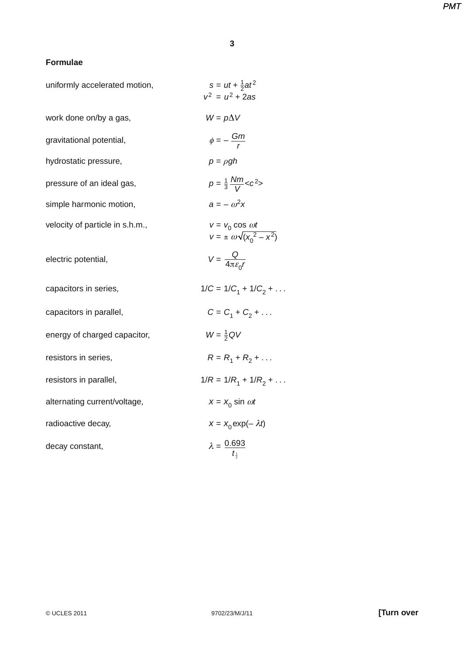#### **Formulae**

| uniformly accelerated motion,   | $s = ut + \frac{1}{2}at^2$<br>$v^2 = u^2 + 2as$                  |
|---------------------------------|------------------------------------------------------------------|
| work done on/by a gas,          | $W = p\Delta V$                                                  |
| gravitational potential,        | $\phi = -\frac{Gm}{r}$                                           |
| hydrostatic pressure,           | $p = \rho gh$                                                    |
| pressure of an ideal gas,       | $p = \frac{1}{3} \frac{Nm}{V} < c^2$                             |
| simple harmonic motion,         | $a = -\omega^2 x$                                                |
| velocity of particle in s.h.m., | $v = v_0 \cos \omega t$<br>$v = \pm \omega \sqrt{(x_0^2 - x^2)}$ |
| electric potential,             | $V = \frac{Q}{4\pi\epsilon_{\rm s}r}$                            |
| capacitors in series,           | $1/C = 1/C_1 + 1/C_2 + \dots$                                    |
| capacitors in parallel,         | $C = C_1 + C_2 + $                                               |
| energy of charged capacitor,    | $W = \frac{1}{2} QV$                                             |
| resistors in series,            | $R = R_1 + R_2 + $                                               |
| resistors in parallel,          | $1/R = 1/R_1 + 1/R_2 + \dots$                                    |
| alternating current/voltage,    | $x = x_0 \sin \omega t$                                          |
| radioactive decay,              | $x = x_0 \exp(-\lambda t)$                                       |
| decay constant,                 | $\lambda = \frac{0.693}{t_{\frac{1}{2}}}$                        |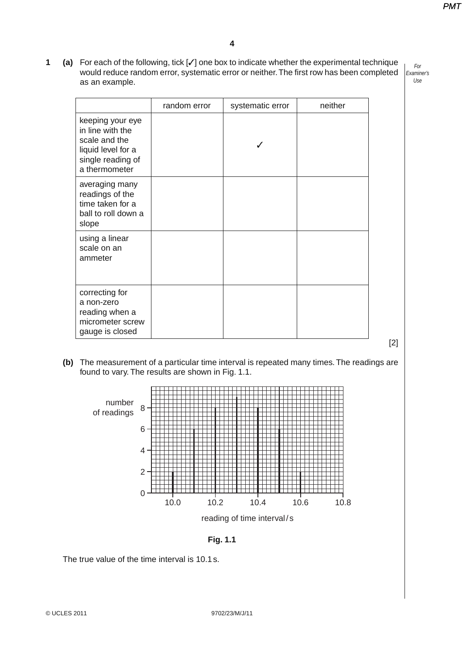**1 (a)** For each of the following, tick [✓] one box to indicate whether the experimental technique would reduce random error, systematic error or neither. The first row has been completed as an example.

For Examiner's Use

|                                                                                                                   | random error | systematic error | neither |
|-------------------------------------------------------------------------------------------------------------------|--------------|------------------|---------|
| keeping your eye<br>in line with the<br>scale and the<br>liquid level for a<br>single reading of<br>a thermometer |              |                  |         |
| averaging many<br>readings of the<br>time taken for a<br>ball to roll down a<br>slope                             |              |                  |         |
| using a linear<br>scale on an<br>ammeter                                                                          |              |                  |         |
| correcting for<br>a non-zero<br>reading when a<br>micrometer screw<br>gauge is closed                             |              |                  |         |

 **(b)** The measurement of a particular time interval is repeated many times. The readings are found to vary. The results are shown in Fig. 1.1.





The true value of the time interval is 10.1 s.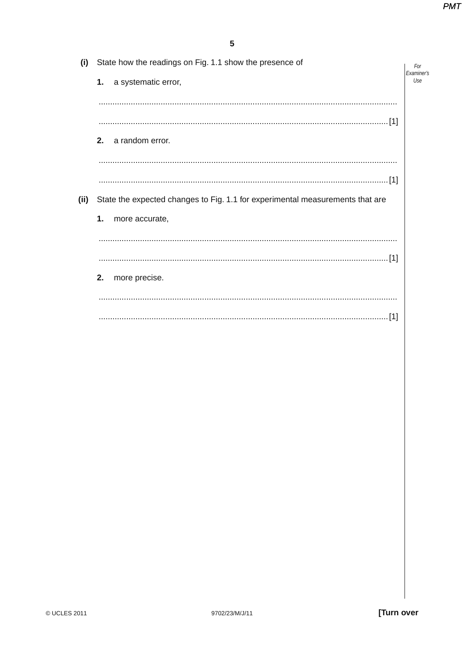| (i)  | State how the readings on Fig. 1.1 show the presence of                       |                   |  |
|------|-------------------------------------------------------------------------------|-------------------|--|
|      | a systematic error,<br>1.                                                     | Examiner's<br>Use |  |
|      |                                                                               |                   |  |
|      |                                                                               |                   |  |
|      | 2.<br>a random error.                                                         |                   |  |
|      |                                                                               |                   |  |
|      |                                                                               |                   |  |
| (ii) | State the expected changes to Fig. 1.1 for experimental measurements that are |                   |  |
|      | 1.<br>more accurate,                                                          |                   |  |
|      |                                                                               |                   |  |
|      |                                                                               |                   |  |
|      | 2.<br>more precise.                                                           |                   |  |
|      |                                                                               |                   |  |
|      | . [1]                                                                         |                   |  |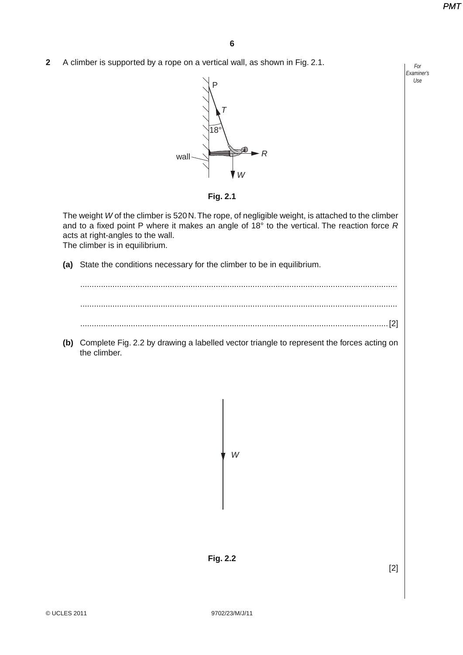For Examiner's Use

**2** A climber is supported by a rope on a vertical wall, as shown in Fig. 2.1.



**Fig. 2.1**

The weight W of the climber is 520 N. The rope, of negligible weight, is attached to the climber and to a fixed point P where it makes an angle of  $18^{\circ}$  to the vertical. The reaction force R acts at right-angles to the wall.

The climber is in equilibrium.

 **(a)** State the conditions necessary for the climber to be in equilibrium.

 .......................................................................................................................................... .......................................................................................................................................... ......................................................................................................................................[2]

 **(b)** Complete Fig. 2.2 by drawing a labelled vector triangle to represent the forces acting on the climber.

W

**Fig. 2.2**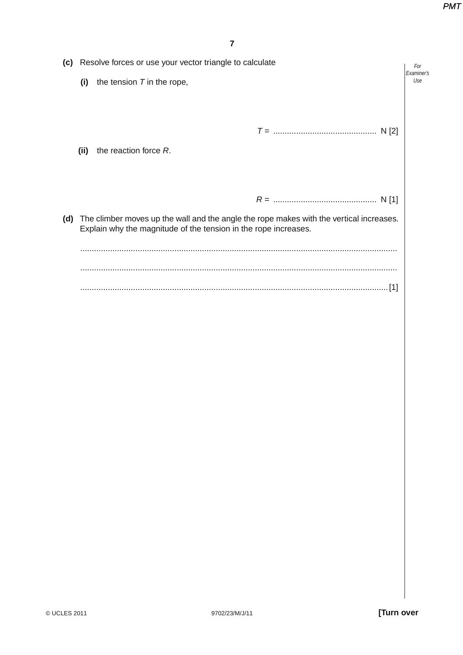|                                                                                                                                                                   |      | (c) Resolve forces or use your vector triangle to calculate | For               |
|-------------------------------------------------------------------------------------------------------------------------------------------------------------------|------|-------------------------------------------------------------|-------------------|
|                                                                                                                                                                   | (i)  | the tension $T$ in the rope,                                | Examiner's<br>Use |
|                                                                                                                                                                   |      |                                                             |                   |
|                                                                                                                                                                   |      |                                                             |                   |
|                                                                                                                                                                   |      |                                                             |                   |
|                                                                                                                                                                   | (ii) | the reaction force R.                                       |                   |
|                                                                                                                                                                   |      |                                                             |                   |
|                                                                                                                                                                   |      |                                                             |                   |
|                                                                                                                                                                   |      |                                                             |                   |
| The climber moves up the wall and the angle the rope makes with the vertical increases.<br>(d)<br>Explain why the magnitude of the tension in the rope increases. |      |                                                             |                   |
|                                                                                                                                                                   |      |                                                             |                   |
|                                                                                                                                                                   |      |                                                             |                   |
|                                                                                                                                                                   |      |                                                             |                   |
|                                                                                                                                                                   |      |                                                             |                   |
|                                                                                                                                                                   |      |                                                             |                   |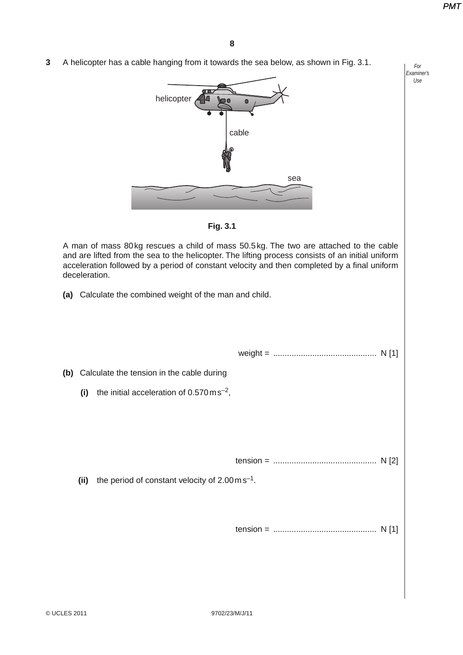For Examiner's Use

**3** A helicopter has a cable hanging from it towards the sea below, as shown in Fig. 3.1.





A man of mass 80 kg rescues a child of mass 50.5 kg. The two are attached to the cable and are lifted from the sea to the helicopter. The lifting process consists of an initial uniform acceleration followed by a period of constant velocity and then completed by a final uniform deceleration.

 **(a)** Calculate the combined weight of the man and child.

weight = ............................................. N [1]

 **(b)** Calculate the tension in the cable during

- **(i)** the initial acceleration of 0.570 m s–2,
- tension = ............................................. N [2]

 **(ii)** the period of constant velocity of 2.00 m s–1.

tension = ............................................. N [1]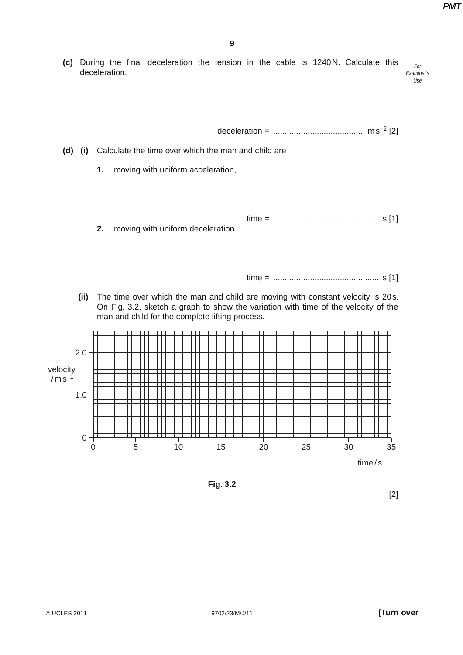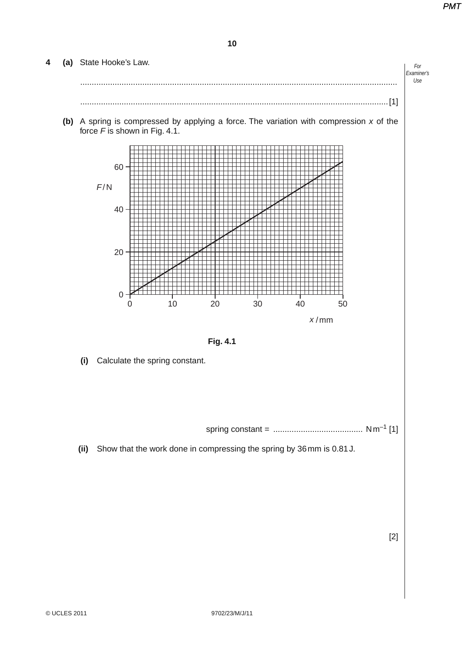# For Examiner's Use **4 (a)** State Hooke's Law. .......................................................................................................................................... ......................................................................................................................................[1]  **(b)** A spring is compressed by applying a force. The variation with compression x of the force  $F$  is shown in Fig. 4.1. 0 10 0 20 40 60 F/N 20 30  $x/mm$ 40 50 **Fig. 4.1 (i)** Calculate the spring constant.

spring constant = ....................................... N m–1 [1]

 **(ii)** Show that the work done in compressing the spring by 36 mm is 0.81 J.

[2]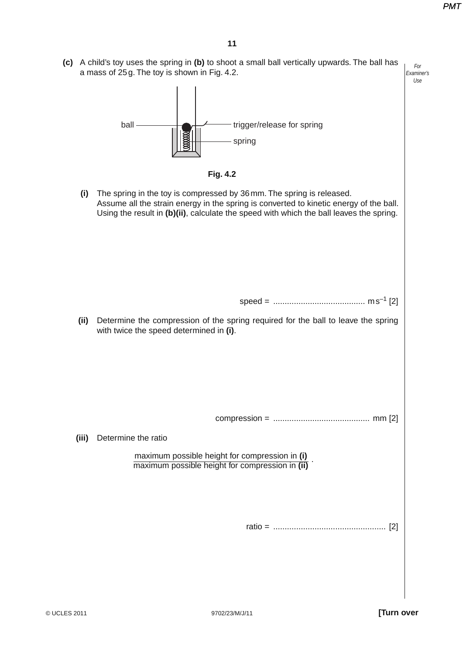For Examiner's Use  **(c)** A child's toy uses the spring in **(b)** to shoot a small ball vertically upwards. The ball has a mass of 25 g. The toy is shown in Fig. 4.2.





 **(i)** The spring in the toy is compressed by 36 mm. The spring is released. Assume all the strain energy in the spring is converted to kinetic energy of the ball. Using the result in **(b)(ii)**, calculate the speed with which the ball leaves the spring.

speed = ........................................ m s–1 [2]

 **(ii)** Determine the compression of the spring required for the ball to leave the spring with twice the speed determined in **(i)**.

compression = .......................................... mm [2]

 **(iii)** Determine the ratio

maximum possible height for compression in **(i)** maximum possible height for compression in **(ii)** .

ratio = ................................................. [2]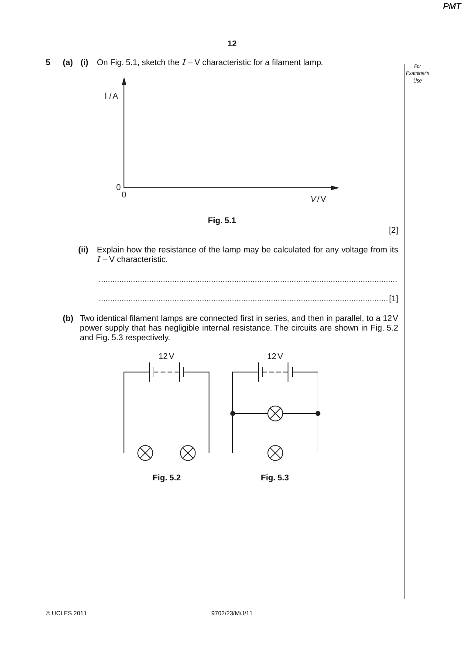For Examiner's Use **5 (a) (i)** On Fig. 5.1, sketch the *I* – V characteristic for a filament lamp. *I* /A V/V 0 0 **Fig. 5.1** [2]  **(ii)** Explain how the resistance of the lamp may be calculated for any voltage from its *I* – V characteristic. .................................................................................................................................. ..............................................................................................................................[1]  **(b)** Two identical filament lamps are connected first in series, and then in parallel, to a 12 V power supply that has negligible internal resistance. The circuits are shown in Fig. 5.2 and Fig. 5.3 respectively.  $12V$ 12V **Fig. 5.2 Fig. 5.3**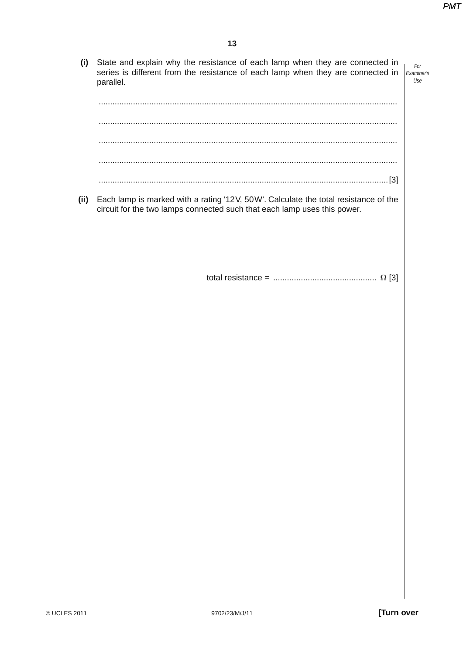| (i)  | State and explain why the resistance of each lamp when they are connected in<br>For<br>series is different from the resistance of each lamp when they are connected in<br>Examiner's<br>Use<br>parallel. |  |
|------|----------------------------------------------------------------------------------------------------------------------------------------------------------------------------------------------------------|--|
|      |                                                                                                                                                                                                          |  |
|      |                                                                                                                                                                                                          |  |
| (11) | Each lamp is marked with a rating '12V, 50W'. Calculate the total resistance of the<br>circuit for the two lamps connected such that each lamp uses this power.                                          |  |

total resistance = ............................................. Ω [3]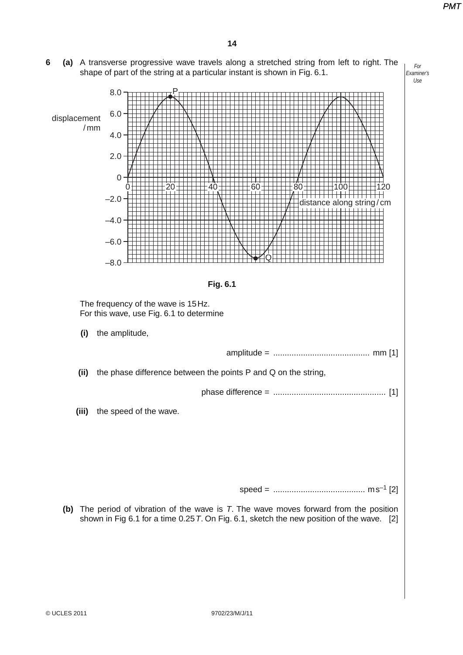For Examiner's **6 (a)** A transverse progressive wave travels along a stretched string from left to right. The shape of part of the string at a particular instant is shown in Fig. 6.1.



 **(b)** The period of vibration of the wave is T. The wave moves forward from the position shown in Fig 6.1 for a time 0.25 T. On Fig. 6.1, sketch the new position of the wave. [2]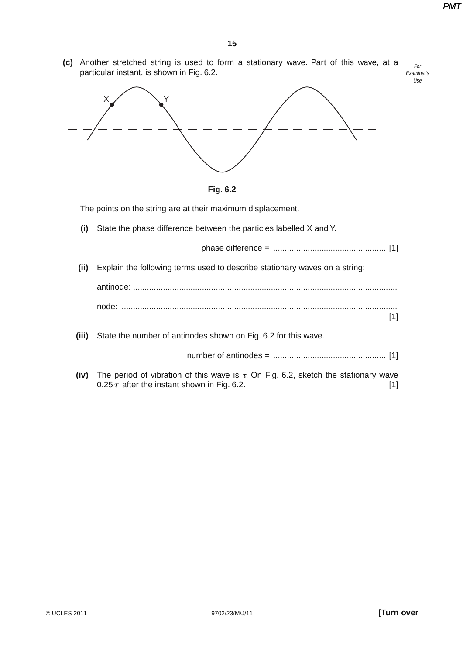